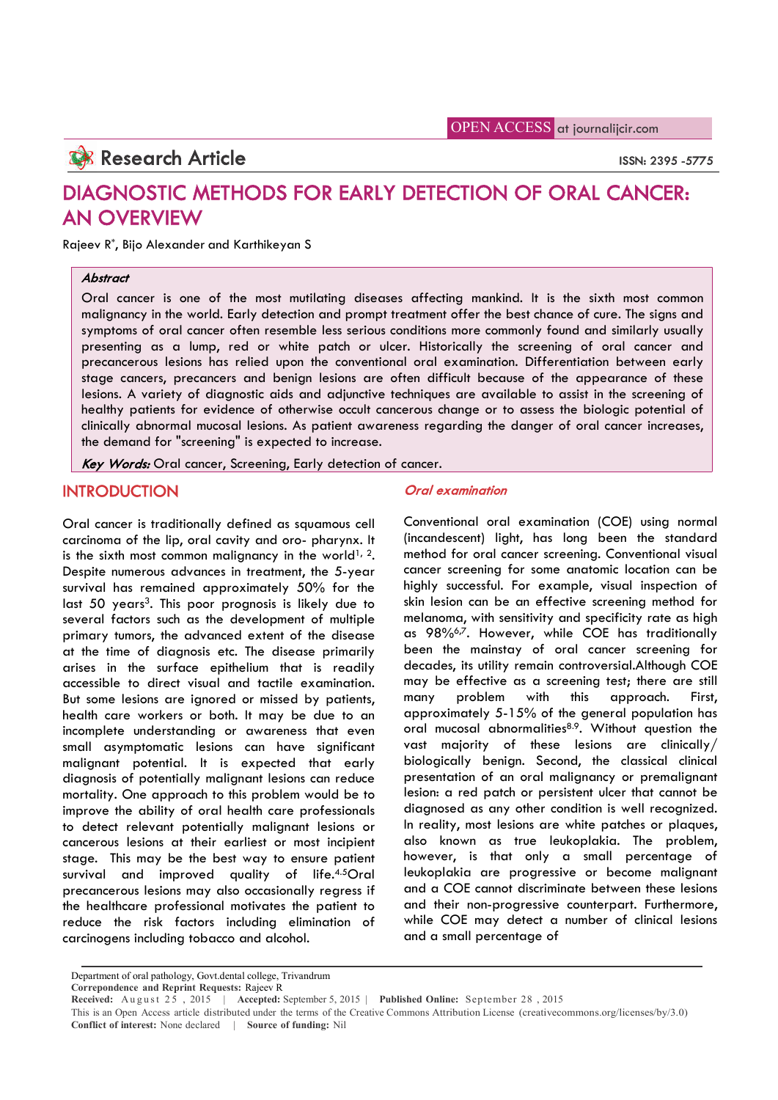OPEN ACCESS at journalijcir.com

# **Research Article** ISSN: 2395 -5775

# DIAGNOSTIC METHODS FOR EARLY DETECTION OF ORAL CANCER: AN OVERVIEW

Rajeev R\*, Bijo Alexander and Karthikeyan S

# **Abstract**

Oral cancer is one of the most mutilating diseases affecting mankind. It is the sixth most common malignancy in the world. Early detection and prompt treatment offer the best chance of cure. The signs and symptoms of oral cancer often resemble less serious conditions more commonly found and similarly usually presenting as a lump, red or white patch or ulcer. Historically the screening of oral cancer and precancerous lesions has relied upon the conventional oral examination. Differentiation between early stage cancers, precancers and benign lesions are often difficult because of the appearance of these lesions. A variety of diagnostic aids and adjunctive techniques are available to assist in the screening of healthy patients for evidence of otherwise occult cancerous change or to assess the biologic potential of clinically abnormal mucosal lesions. As patient awareness regarding the danger of oral cancer increases, the demand for "screening" is expected to increase.

Key Words: Oral cancer, Screening, Early detection of cancer.

# **INTRODUCTION**

Oral cancer is traditionally defined as squamous cell carcinoma of the lip, oral cavity and oro- pharynx. It is the sixth most common malignancy in the world<sup>1, 2</sup>. Despite numerous advances in treatment, the 5-year survival has remained approximately 50% for the last 50 years<sup>3</sup>. This poor prognosis is likely due to several factors such as the development of multiple primary tumors, the advanced extent of the disease at the time of diagnosis etc. The disease primarily arises in the surface epithelium that is readily accessible to direct visual and tactile examination. But some lesions are ignored or missed by patients, health care workers or both. It may be due to an incomplete understanding or awareness that even small asymptomatic lesions can have significant malignant potential. It is expected that early diagnosis of potentially malignant lesions can reduce mortality. One approach to this problem would be to improve the ability of oral health care professionals to detect relevant potentially malignant lesions or cancerous lesions at their earliest or most incipient stage. This may be the best way to ensure patient survival and improved quality of life.4.5Oral precancerous lesions may also occasionally regress if the healthcare professional motivates the patient to reduce the risk factors including elimination of carcinogens including tobacco and alcohol.

## Oral examination

Conventional oral examination (COE) using normal (incandescent) light, has long been the standard method for oral cancer screening. Conventional visual cancer screening for some anatomic location can be highly successful. For example, visual inspection of skin lesion can be an effective screening method for melanoma, with sensitivity and specificity rate as high as 98%<sup>6,7</sup>. However, while COE has traditionally been the mainstay of oral cancer screening for decades, its utility remain controversial.Although COE may be effective as a screening test; there are still many problem with this approach. First, approximately 5-15% of the general population has oral mucosal abnormalities<sup>8.9</sup>. Without question the vast majority of these lesions are clinically/ biologically benign. Second, the classical clinical presentation of an oral malignancy or premalignant lesion: a red patch or persistent ulcer that cannot be diagnosed as any other condition is well recognized. In reality, most lesions are white patches or plaques, also known as true leukoplakia. The problem, however, is that only a small percentage of leukoplakia are progressive or become malignant and a COE cannot discriminate between these lesions and their non-progressive counterpart. Furthermore, while COE may detect a number of clinical lesions and a small percentage of

Department of oral pathology, Govt.dental college, Trivandrum **Correpondence and Reprint Requests:** Rajeev R

**Received:** August  $2\bar{5}$ ,  $2015$  | **Accepted:** September 5, 2015 | **Published Online:** September 28, 2015

This is an Open Access article distributed under the terms of the Creative Commons Attribution License (creativecommons.org/licenses/by/3.0) **Conflict of interest:** None declared | **Source of funding:** Nil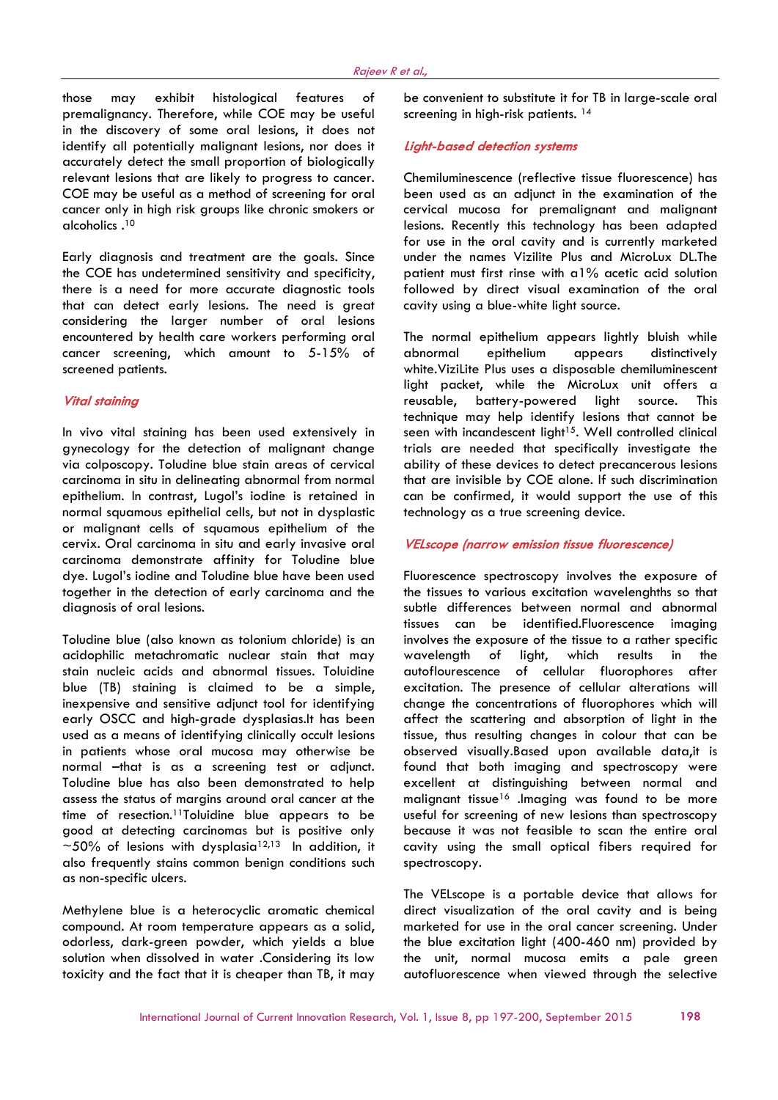those may exhibit histological features of premalignancy. Therefore, while COE may be useful in the discovery of some oral lesions, it does not identify all potentially malignant lesions, nor does it accurately detect the small proportion of biologically relevant lesions that are likely to progress to cancer. COE may be useful as a method of screening for oral cancer only in high risk groups like chronic smokers or alcoholics .10

Early diagnosis and treatment are the goals. Since the COE has undetermined sensitivity and specificity, there is a need for more accurate diagnostic tools that can detect early lesions. The need is great considering the larger number of oral lesions encountered by health care workers performing oral cancer screening, which amount to 5-15% of screened patients.

## Vital staining

In vivo vital staining has been used extensively in gynecology for the detection of malignant change via colposcopy. Toludine blue stain areas of cervical carcinoma in situ in delineating abnormal from normal epithelium. In contrast, Lugol's iodine is retained in normal squamous epithelial cells, but not in dysplastic or malignant cells of squamous epithelium of the cervix. Oral carcinoma in situ and early invasive oral carcinoma demonstrate affinity for Toludine blue dye. Lugol's iodine and Toludine blue have been used together in the detection of early carcinoma and the diagnosis of oral lesions.

Toludine blue (also known as tolonium chloride) is an acidophilic metachromatic nuclear stain that may stain nucleic acids and abnormal tissues. Toluidine blue (TB) staining is claimed to be a simple, inexpensive and sensitive adjunct tool for identifying early OSCC and high-grade dysplasias.It has been used as a means of identifying clinically occult lesions in patients whose oral mucosa may otherwise be normal –that is as a screening test or adjunct. Toludine blue has also been demonstrated to help assess the status of margins around oral cancer at the time of resection.11Toluidine blue appears to be good at detecting carcinomas but is positive only  $\sim$  50% of lesions with dysplasia<sup>12,13</sup> In addition, it also frequently stains common benign conditions such as non-specific ulcers.

Methylene blue is a heterocyclic aromatic chemical compound. At room temperature appears as a solid, odorless, dark-green powder, which yields a blue solution when dissolved in water .Considering its low toxicity and the fact that it is cheaper than TB, it may

be convenient to substitute it for TB in large-scale oral screening in high-risk patients.<sup>14</sup>

#### Light-based detection systems

Chemiluminescence (reflective tissue fluorescence) has been used as an adjunct in the examination of the cervical mucosa for premalignant and malignant lesions. Recently this technology has been adapted for use in the oral cavity and is currently marketed under the names Vizilite Plus and MicroLux DL.The patient must first rinse with a1% acetic acid solution followed by direct visual examination of the oral cavity using a blue-white light source.

The normal epithelium appears lightly bluish while abnormal epithelium appears distinctively white.ViziLite Plus uses a disposable chemiluminescent light packet, while the MicroLux unit offers a reusable, battery-powered light source. This technique may help identify lesions that cannot be seen with incandescent light<sup>15</sup>. Well controlled clinical trials are needed that specifically investigate the ability of these devices to detect precancerous lesions that are invisible by COE alone. If such discrimination can be confirmed, it would support the use of this technology as a true screening device.

#### VELscope (narrow emission tissue fluorescence)

Fluorescence spectroscopy involves the exposure of the tissues to various excitation wavelenghths so that subtle differences between normal and abnormal tissues can be identified.Fluorescence imaging involves the exposure of the tissue to a rather specific wavelength of light, which results in the autoflourescence of cellular fluorophores after excitation. The presence of cellular alterations will change the concentrations of fluorophores which will affect the scattering and absorption of light in the tissue, thus resulting changes in colour that can be observed visually.Based upon available data,it is found that both imaging and spectroscopy were excellent at distinguishing between normal and malignant tissue<sup>16</sup> .Imaging was found to be more useful for screening of new lesions than spectroscopy because it was not feasible to scan the entire oral cavity using the small optical fibers required for spectroscopy.

The VELscope is a portable device that allows for direct visualization of the oral cavity and is being marketed for use in the oral cancer screening. Under the blue excitation light (400-460 nm) provided by the unit, normal mucosa emits a pale green autofluorescence when viewed through the selective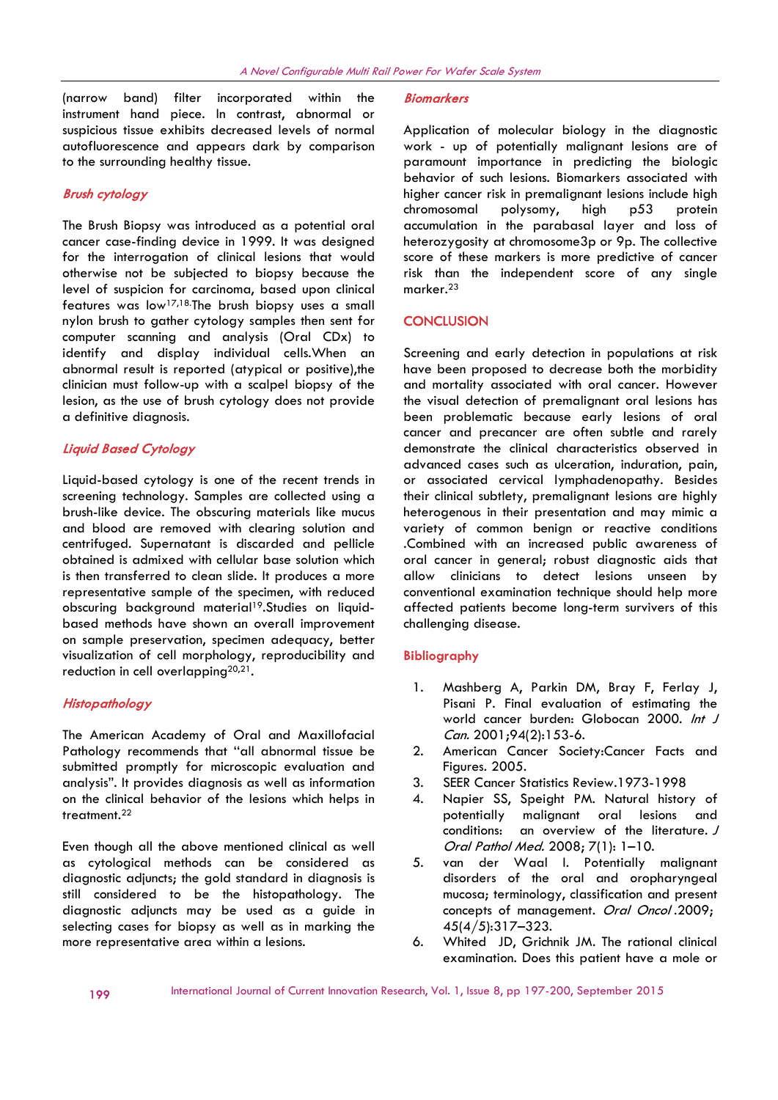(narrow band) filter incorporated within the instrument hand piece. In contrast, abnormal or suspicious tissue exhibits decreased levels of normal autofluorescence and appears dark by comparison to the surrounding healthy tissue.

## Brush cytology

The Brush Biopsy was introduced as a potential oral cancer case-finding device in 1999. It was designed for the interrogation of clinical lesions that would otherwise not be subjected to biopsy because the level of suspicion for carcinoma, based upon clinical features was low17,18.The brush biopsy uses a small nylon brush to gather cytology samples then sent for computer scanning and analysis (Oral CDx) to identify and display individual cells.When an abnormal result is reported (atypical or positive), the clinician must follow-up with a scalpel biopsy of the lesion, as the use of brush cytology does not provide a definitive diagnosis.

## Liquid Based Cytology

Liquid-based cytology is one of the recent trends in screening technology. Samples are collected using a brush-like device. The obscuring materials like mucus and blood are removed with clearing solution and centrifuged. Supernatant is discarded and pellicle obtained is admixed with cellular base solution which is then transferred to clean slide. It produces a more representative sample of the specimen, with reduced obscuring background material<sup>19</sup>.Studies on liquidbased methods have shown an overall improvement on sample preservation, specimen adequacy, better visualization of cell morphology, reproducibility and reduction in cell overlapping<sup>20,21</sup>.

#### **Histopathology**

The American Academy of Oral and Maxillofacial Pathology recommends that ''all abnormal tissue be submitted promptly for microscopic evaluation and analysis". It provides diagnosis as well as information on the clinical behavior of the lesions which helps in treatment.22

Even though all the above mentioned clinical as well as cytological methods can be considered as diagnostic adjuncts; the gold standard in diagnosis is still considered to be the histopathology. The diagnostic adjuncts may be used as a guide in selecting cases for biopsy as well as in marking the more representative area within a lesions.

#### **Biomarkers**

Application of molecular biology in the diagnostic work - up of potentially malignant lesions are of paramount importance in predicting the biologic behavior of such lesions. Biomarkers associated with higher cancer risk in premalignant lesions include high chromosomal polysomy, high p53 protein accumulation in the parabasal layer and loss of heterozygosity at chromosome3p or 9p. The collective score of these markers is more predictive of cancer risk than the independent score of any single marker.23

### **CONCLUSION**

Screening and early detection in populations at risk have been proposed to decrease both the morbidity and mortality associated with oral cancer. However the visual detection of premalignant oral lesions has been problematic because early lesions of oral cancer and precancer are often subtle and rarely demonstrate the clinical characteristics observed in advanced cases such as ulceration, induration, pain, or associated cervical lymphadenopathy. Besides their clinical subtlety, premalignant lesions are highly heterogenous in their presentation and may mimic a variety of common benign or reactive conditions .Combined with an increased public awareness of oral cancer in general; robust diagnostic aids that allow clinicians to detect lesions unseen by conventional examination technique should help more affected patients become long-term survivers of this challenging disease.

#### Bibliography

- 1. Mashberg A, Parkin DM, Bray F, Ferlay J, Pisani P. Final evaluation of estimating the world cancer burden: Globocan 2000. Int J Can. 2001;94(2):153-6.
- 2. American Cancer Society:Cancer Facts and Figures. 2005.
- 3. SEER Cancer Statistics Review.1973-1998
- 4. Napier SS, Speight PM. Natural history of potentially malignant oral lesions and conditions: an overview of the literature. <sup>J</sup> Oral Pathol Med. 2008; 7(1): 1–10.
- 5. van der Waal I. Potentially malignant disorders of the oral and oropharyngeal mucosa; terminology, classification and present concepts of management. Oral Oncol.2009; 45(4/5):317–323.
- 6. Whited JD, Grichnik JM. The rational clinical examination. Does this patient have a mole or